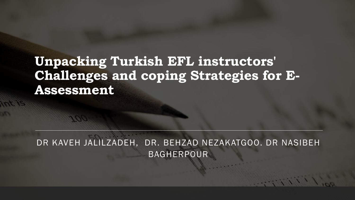### **Unpacking Turkish EFL instructors' Challenges and coping Strategies for E-Assessment**

DR KAVEH JALILZADEH, DR. BEHZAD NEZAKATGOO. DR NASIBEH BAGHERPOUR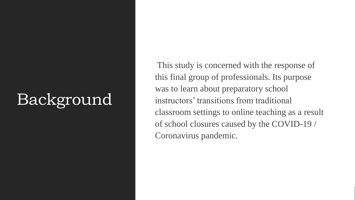## Background

This study is concerned with the response of this final group of professionals. Its purpose was to learn about preparatory school instructors' transitions from traditional classroom settings to online teaching as a result of school closures caused by the COVID-19 / Coronavirus pandemic.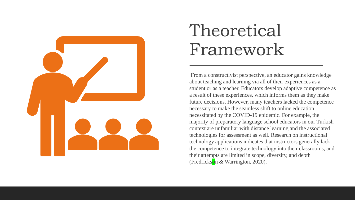

## Theoretical Framework

From a constructivist perspective, an educator gains knowledge about teaching and learning via all of their experiences as a student or as a teacher. Educators develop adaptive competence as a result of these experiences, which informs them as they make future decisions. However, many teachers lacked the competence necessary to make the seamless shift to online education necessitated by the COVID-19 epidemic. For example, the majority of preparatory language school educators in our Turkish context are unfamiliar with distance learning and the associated technologies for assessment as well. Research on instructional technology applications indicates that instructors generally lack the competence to integrate technology into their classrooms, and their attempts are limited in scope, diversity, and depth (Fredrickson & Warrington, 2020).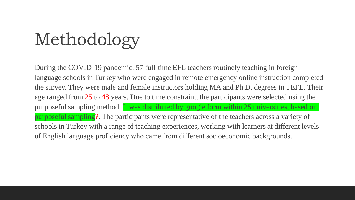# Methodology

During the COVID-19 pandemic, 57 full-time EFL teachers routinely teaching in foreign language schools in Turkey who were engaged in remote emergency online instruction completed the survey. They were male and female instructors holding MA and Ph.D. degrees in TEFL. Their age ranged from 25 to 48 years. Due to time constraint, the participants were selected using the purposeful sampling method. It was distributed by google form within 25 universities, based on purposeful sampling?. The participants were representative of the teachers across a variety of schools in Turkey with a range of teaching experiences, working with learners at different levels of English language proficiency who came from different socioeconomic backgrounds.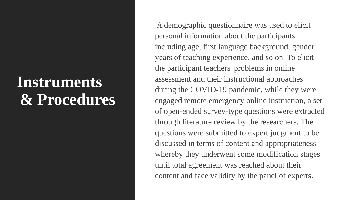### **Instruments & Procedures**

A demographic questionnaire was used to elicit personal information about the participants including age, first language background, gender, years of teaching experience, and so on. To elicit the participant teachers' problems in online assessment and their instructional approaches during the COVID-19 pandemic, while they were engaged remote emergency online instruction, a set of open-ended survey-type questions were extracted through literature review by the researchers. The questions were submitted to expert judgment to be discussed in terms of content and appropriateness whereby they underwent some modification stages until total agreement was reached about their content and face validity by the panel of experts.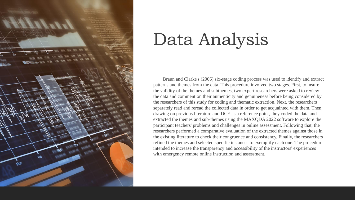

## Data Analysis

Braun and Clarke's (2006) six-stage coding process was used to identify and extract patterns and themes from the data. This procedure involved two stages. First, to insure the validity of the themes and subthemes, two expert researchers were asked to review the data and comment on their authenticity and genuineness before being considered by the researchers of this study for coding and thematic extraction. Next, the researchers separately read and reread the collected data in order to get acquainted with them. Then, drawing on previous literature and DCE as a reference point, they coded the data and extracted the themes and sub-themes using the MAXQDA 2022 software to explore the participant teachers' problems and challenges in online assessment. Following that, the researchers performed a comparative evaluation of the extracted themes against those in the existing literature to check their congruence and consistency. Finally, the researchers refined the themes and selected specific instances to exemplify each one. The procedure intended to increase the transparency and accessibility of the instructors' experiences with emergency remote online instruction and assessment.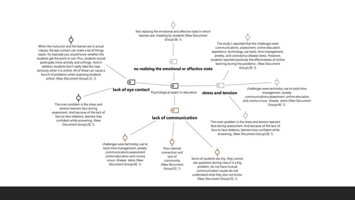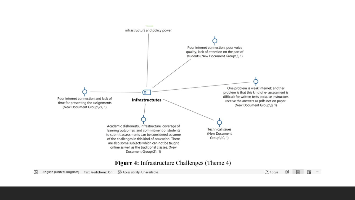

#### **Figure 4:** Infrastructure Challenges (Theme 4)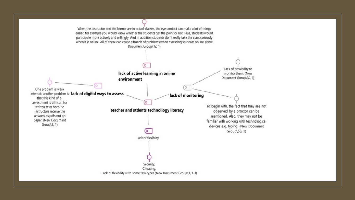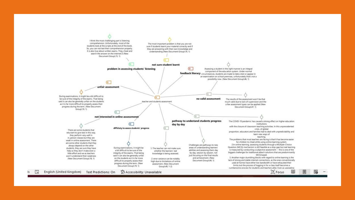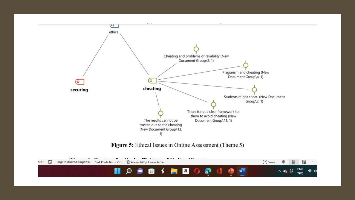

Figure 5: Ethical Issues in Online Assessment (Theme 5)

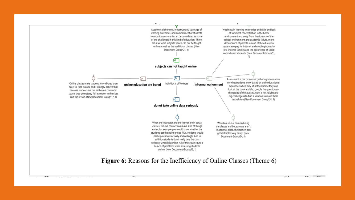

nΩν

 $\mathcal{L} = \{ \mathcal{L} \mid \mathcal{L} \in \mathcal{L} \}$  , and the point of the point  $\mathcal{L} = \{ \mathcal{L} \}$ 

DO.

#### **Figure 6:** Reasons for the Inefficiency of Online Classes (Theme 6)

 $\blacksquare$  $r_{\rm max}$ DO.